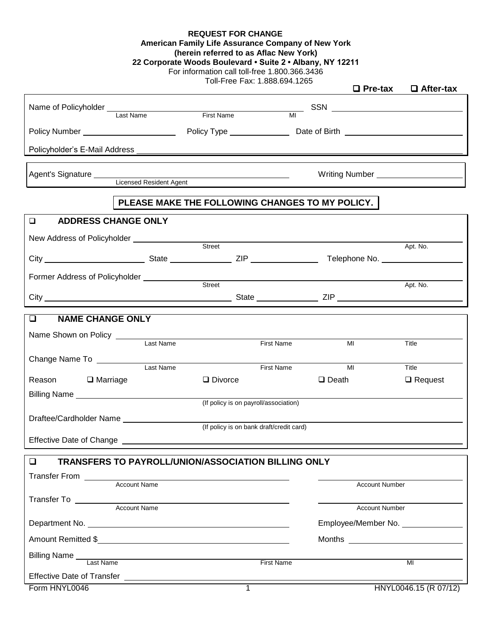| <b>REQUEST FOR CHANGE</b>                          |
|----------------------------------------------------|
| American Family Life Assurance Company of New York |

**(herein referred to as Aflac New York)**

|  | 22 Corporate Woods Boulevard • Suite 2 • Albany, NY 12211 |  |
|--|-----------------------------------------------------------|--|
|--|-----------------------------------------------------------|--|

For information call toll-free 1.800.366.3436

Toll-Free Fax: 1.888.694.1265

|                                                                         |                            |                                                            |                   | $\Box$ Pre-tax                         | $\Box$ After-tax      |
|-------------------------------------------------------------------------|----------------------------|------------------------------------------------------------|-------------------|----------------------------------------|-----------------------|
| Name of Policyholder<br>Last Name                                       |                            | First Name MI                                              |                   |                                        |                       |
|                                                                         |                            |                                                            |                   |                                        |                       |
|                                                                         |                            |                                                            |                   |                                        |                       |
| Agent's Signature<br>Licensed Resident Agent<br>Licensed Resident Agent |                            |                                                            |                   | Writing Number _______________________ |                       |
|                                                                         |                            | PLEASE MAKE THE FOLLOWING CHANGES TO MY POLICY.            |                   |                                        |                       |
| $\Box$                                                                  | <b>ADDRESS CHANGE ONLY</b> |                                                            |                   |                                        |                       |
|                                                                         |                            |                                                            |                   |                                        | Apt. No.              |
|                                                                         |                            |                                                            |                   |                                        |                       |
| Former Address of Policyholder<br>Street<br>Street                      |                            |                                                            |                   |                                        |                       |
|                                                                         |                            |                                                            |                   |                                        | Apt. No.              |
| <b>NAME CHANGE ONLY</b><br>$\Box$                                       |                            |                                                            |                   |                                        |                       |
| Name Shown on Policy<br>Last Name                                       |                            |                                                            |                   |                                        |                       |
|                                                                         |                            |                                                            | <b>First Name</b> | MI                                     | Title                 |
| Change Name To __________                                               | Last Name                  |                                                            | <b>First Name</b> | MI                                     | Title                 |
| Reason □ Marriage                                                       |                            | $\Box$ Divorce                                             |                   | $\Box$ Death                           | $\Box$ Request        |
|                                                                         |                            | (If policy is on payroll/association)                      |                   |                                        |                       |
| Draftee/Cardholder Name                                                 |                            |                                                            |                   |                                        |                       |
|                                                                         |                            | (If policy is on bank draft/credit card)                   |                   |                                        |                       |
| Effective Date of Change ____________                                   |                            |                                                            |                   |                                        |                       |
| $\Box$                                                                  |                            | <b>TRANSFERS TO PAYROLL/UNION/ASSOCIATION BILLING ONLY</b> |                   |                                        |                       |
|                                                                         |                            |                                                            |                   |                                        |                       |
|                                                                         | <b>Account Name</b>        |                                                            |                   | <b>Account Number</b>                  |                       |
|                                                                         | <b>Account Name</b>        |                                                            |                   | <b>Account Number</b>                  |                       |
| Employee/Member No. _______________                                     |                            |                                                            |                   |                                        |                       |
| Amount Remitted \$                                                      |                            |                                                            |                   |                                        |                       |
|                                                                         |                            |                                                            | First Name        |                                        | MI                    |
|                                                                         |                            |                                                            |                   |                                        |                       |
| Form HNYL0046                                                           |                            |                                                            |                   |                                        | HNYL0046.15 (R 07/12) |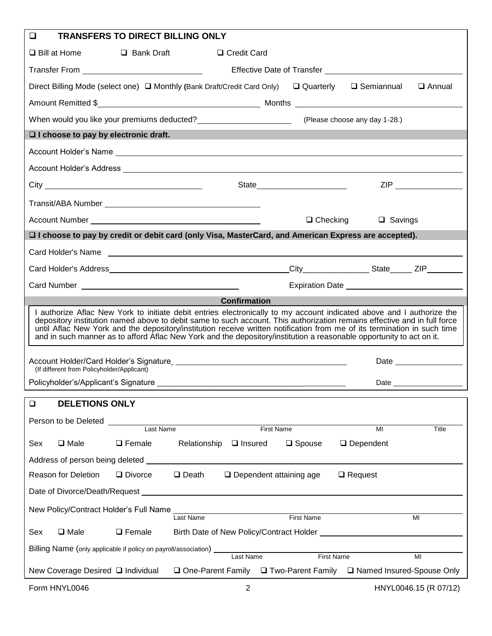| $\Box$<br><b>TRANSFERS TO DIRECT BILLING ONLY</b>                                                                                                                                                                                                                                                                                                                                                                                                                                                     |
|-------------------------------------------------------------------------------------------------------------------------------------------------------------------------------------------------------------------------------------------------------------------------------------------------------------------------------------------------------------------------------------------------------------------------------------------------------------------------------------------------------|
| $\square$ Bill at Home<br>$\Box$ Bank Draft<br>□ Credit Card                                                                                                                                                                                                                                                                                                                                                                                                                                          |
|                                                                                                                                                                                                                                                                                                                                                                                                                                                                                                       |
| Direct Billing Mode (select one) □ Monthly (Bank Draft/Credit Card Only) □ Quarterly<br>□ Semiannual<br>$\Box$ Annual                                                                                                                                                                                                                                                                                                                                                                                 |
|                                                                                                                                                                                                                                                                                                                                                                                                                                                                                                       |
| When would you like your premiums deducted?<br>Mease choose any day 1-28.)                                                                                                                                                                                                                                                                                                                                                                                                                            |
| $\Box$ I choose to pay by electronic draft.                                                                                                                                                                                                                                                                                                                                                                                                                                                           |
|                                                                                                                                                                                                                                                                                                                                                                                                                                                                                                       |
|                                                                                                                                                                                                                                                                                                                                                                                                                                                                                                       |
|                                                                                                                                                                                                                                                                                                                                                                                                                                                                                                       |
|                                                                                                                                                                                                                                                                                                                                                                                                                                                                                                       |
| $\Box$ Checking<br>$\Box$ Savings                                                                                                                                                                                                                                                                                                                                                                                                                                                                     |
| □ I choose to pay by credit or debit card (only Visa, MasterCard, and American Express are accepted).                                                                                                                                                                                                                                                                                                                                                                                                 |
|                                                                                                                                                                                                                                                                                                                                                                                                                                                                                                       |
|                                                                                                                                                                                                                                                                                                                                                                                                                                                                                                       |
|                                                                                                                                                                                                                                                                                                                                                                                                                                                                                                       |
| <b>Confirmation</b>                                                                                                                                                                                                                                                                                                                                                                                                                                                                                   |
| I authorize Aflac New York to initiate debit entries electronically to my account indicated above and I authorize the<br>depository institution named above to debit same to such account. This authorization remains effective and in full force<br>until Aflac New York and the depository/institution receive written notification from me of its termination in such time<br>and in such manner as to afford Aflac New York and the depository/institution a reasonable opportunity to act on it. |
| (If different from Policyholder/Applicant)                                                                                                                                                                                                                                                                                                                                                                                                                                                            |
| Policyholder's/Applicant's Signature<br>Date                                                                                                                                                                                                                                                                                                                                                                                                                                                          |
| <b>DELETIONS ONLY</b><br>$\Box$                                                                                                                                                                                                                                                                                                                                                                                                                                                                       |
| Person to be Deleted <b>Deleted Deleted Deleted Deleted Deleted Deleted Deleted Deleted Deleted Deleted Deleted Deleted Deleted Deleted Deleted Deleted Deleted Deleted Deleted Deleted </b>                                                                                                                                                                                                                                                                                                          |
| Last Name<br><b>First Name</b><br>MI<br>Title                                                                                                                                                                                                                                                                                                                                                                                                                                                         |
| $\Box$ Male<br>$\Box$ Female<br>Relationship $\Box$ Insured<br>$\Box$ Dependent<br>Sex<br>$\square$ Spouse                                                                                                                                                                                                                                                                                                                                                                                            |
|                                                                                                                                                                                                                                                                                                                                                                                                                                                                                                       |
| $\Box$ Death $\Box$ Dependent attaining age<br>Reason for Deletion<br>$\Box$ Request<br>$\Box$ Divorce                                                                                                                                                                                                                                                                                                                                                                                                |
|                                                                                                                                                                                                                                                                                                                                                                                                                                                                                                       |
| New Policy/Contract Holder's Full Name<br>First Name<br>Last Name<br>MI                                                                                                                                                                                                                                                                                                                                                                                                                               |
| $\square$ Male<br>$\Box$ Female<br>Sex                                                                                                                                                                                                                                                                                                                                                                                                                                                                |
| Billing Name (only applicable if policy on payroll/association) _________________                                                                                                                                                                                                                                                                                                                                                                                                                     |
| <b>First Name</b><br>MI<br>New Coverage Desired □ Individual □ One-Parent Family □ Two-Parent Family □ Named Insured-Spouse Only                                                                                                                                                                                                                                                                                                                                                                      |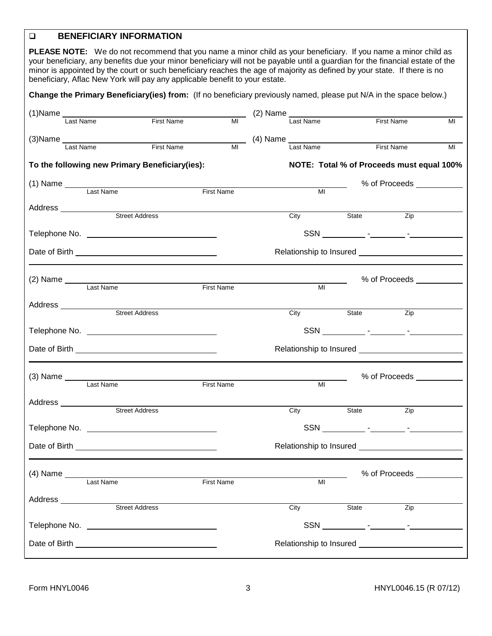## **BENEFICIARY INFORMATION**

**PLEASE NOTE:** We do not recommend that you name a minor child as your beneficiary. If you name a minor child as your beneficiary, any benefits due your minor beneficiary will not be payable until a guardian for the financial estate of the minor is appointed by the court or such beneficiary reaches the age of majority as defined by your state. If there is no beneficiary, Aflac New York will pay any applicable benefit to your estate.

**Change the Primary Beneficiary(ies) from:** (If no beneficiary previously named, please put N/A in the space below.)

|              |                       |                                                                                                                                                                                                                               |                   | $(2)$ Name     |                                                                                          |                                                                                                                                                                                                                                |    |
|--------------|-----------------------|-------------------------------------------------------------------------------------------------------------------------------------------------------------------------------------------------------------------------------|-------------------|----------------|------------------------------------------------------------------------------------------|--------------------------------------------------------------------------------------------------------------------------------------------------------------------------------------------------------------------------------|----|
| Last Name    |                       | First Name                                                                                                                                                                                                                    | MI                | Last Name      |                                                                                          | First Name                                                                                                                                                                                                                     | MI |
|              |                       |                                                                                                                                                                                                                               |                   |                |                                                                                          |                                                                                                                                                                                                                                |    |
| Last Name    |                       | <b>First Name</b>                                                                                                                                                                                                             | MI                | Last Name      |                                                                                          | <b>First Name</b>                                                                                                                                                                                                              | MI |
|              |                       | To the following new Primary Beneficiary(ies):                                                                                                                                                                                |                   |                | NOTE: Total % of Proceeds must equal 100%                                                |                                                                                                                                                                                                                                |    |
|              | (1) Name<br>Last Name |                                                                                                                                                                                                                               |                   |                |                                                                                          | % of Proceeds <b>Contract Control</b>                                                                                                                                                                                          |    |
|              |                       |                                                                                                                                                                                                                               | <b>First Name</b> | MI             |                                                                                          |                                                                                                                                                                                                                                |    |
|              |                       | Address<br>Street Address                                                                                                                                                                                                     |                   |                |                                                                                          |                                                                                                                                                                                                                                |    |
|              |                       |                                                                                                                                                                                                                               |                   | City           | State State                                                                              | Zip                                                                                                                                                                                                                            |    |
|              |                       |                                                                                                                                                                                                                               |                   |                |                                                                                          |                                                                                                                                                                                                                                |    |
|              |                       |                                                                                                                                                                                                                               |                   |                |                                                                                          |                                                                                                                                                                                                                                |    |
|              |                       |                                                                                                                                                                                                                               |                   |                |                                                                                          |                                                                                                                                                                                                                                |    |
|              |                       | (2) Name Last Name First Name                                                                                                                                                                                                 |                   | M <sub>l</sub> |                                                                                          |                                                                                                                                                                                                                                |    |
|              |                       |                                                                                                                                                                                                                               |                   |                |                                                                                          |                                                                                                                                                                                                                                |    |
|              |                       |                                                                                                                                                                                                                               |                   | City           | State                                                                                    | $\overline{Zip}$                                                                                                                                                                                                               |    |
|              |                       |                                                                                                                                                                                                                               |                   |                |                                                                                          |                                                                                                                                                                                                                                |    |
|              |                       |                                                                                                                                                                                                                               |                   |                |                                                                                          |                                                                                                                                                                                                                                |    |
|              |                       |                                                                                                                                                                                                                               |                   |                |                                                                                          | % of Proceeds and the Second Second Second Second Second Second Second Second Second Second Second Second Second Second Second Second Second Second Second Second Second Second Second Second Second Second Second Second Seco |    |
|              | Last Name             |                                                                                                                                                                                                                               | <b>First Name</b> | MI             |                                                                                          |                                                                                                                                                                                                                                |    |
|              |                       |                                                                                                                                                                                                                               |                   |                |                                                                                          |                                                                                                                                                                                                                                |    |
|              |                       | Address<br>Street Address                                                                                                                                                                                                     |                   | City           | State State                                                                              | Zip                                                                                                                                                                                                                            |    |
|              |                       | Telephone No. The contract of the contract of the contract of the contract of the contract of the contract of the contract of the contract of the contract of the contract of the contract of the contract of the contract of |                   |                |                                                                                          |                                                                                                                                                                                                                                |    |
|              |                       |                                                                                                                                                                                                                               |                   |                | Relationship to Insured <b>contains the Contract of Australian</b> Property and Property |                                                                                                                                                                                                                                |    |
|              |                       |                                                                                                                                                                                                                               |                   |                |                                                                                          |                                                                                                                                                                                                                                |    |
|              | (4) Name<br>Last Name |                                                                                                                                                                                                                               | <b>First Name</b> | MI             |                                                                                          |                                                                                                                                                                                                                                |    |
| Address 2000 |                       |                                                                                                                                                                                                                               |                   |                |                                                                                          |                                                                                                                                                                                                                                |    |
|              | <b>Street Address</b> |                                                                                                                                                                                                                               |                   | City           | State                                                                                    | Zip                                                                                                                                                                                                                            |    |
|              |                       |                                                                                                                                                                                                                               |                   |                |                                                                                          |                                                                                                                                                                                                                                |    |
|              |                       |                                                                                                                                                                                                                               |                   |                |                                                                                          |                                                                                                                                                                                                                                |    |
|              |                       |                                                                                                                                                                                                                               |                   |                |                                                                                          |                                                                                                                                                                                                                                |    |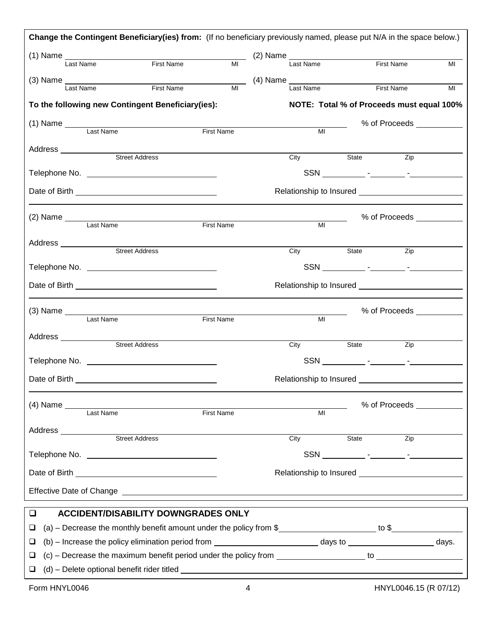|                       | Change the Contingent Beneficiary(ies) from: (If no beneficiary previously named, please put N/A in the space below.) |            |                   |      |                                                             |             |                                                                                                                                                                                                                                |
|-----------------------|-----------------------------------------------------------------------------------------------------------------------|------------|-------------------|------|-------------------------------------------------------------|-------------|--------------------------------------------------------------------------------------------------------------------------------------------------------------------------------------------------------------------------------|
|                       | (1) Name<br>Last Name First Name First Name MI (2) Name Last Name First Name                                          |            |                   |      |                                                             |             | MI                                                                                                                                                                                                                             |
|                       |                                                                                                                       |            |                   |      |                                                             |             |                                                                                                                                                                                                                                |
|                       | $(3)$ Name $\frac{1}{\text{Last Name}}$                                                                               | First Name |                   |      | $\frac{1}{\text{MI}}$ (4) Name $\frac{1}{\text{Last Name}}$ | First Name  | MI                                                                                                                                                                                                                             |
|                       | To the following new Contingent Beneficiary(ies):                                                                     |            |                   |      |                                                             |             | NOTE: Total % of Proceeds must equal 100%                                                                                                                                                                                      |
|                       |                                                                                                                       |            | First Name        |      | MI                                                          |             | % of Proceeds ___________                                                                                                                                                                                                      |
|                       |                                                                                                                       |            |                   |      |                                                             |             |                                                                                                                                                                                                                                |
|                       |                                                                                                                       |            |                   |      |                                                             | City State  | Zip                                                                                                                                                                                                                            |
|                       |                                                                                                                       |            |                   |      |                                                             |             |                                                                                                                                                                                                                                |
|                       |                                                                                                                       |            |                   |      |                                                             |             |                                                                                                                                                                                                                                |
|                       | (2) Name<br>Last Name                                                                                                 |            | First Name        |      | MI                                                          |             | % of Proceeds ___________                                                                                                                                                                                                      |
|                       |                                                                                                                       |            |                   |      |                                                             |             |                                                                                                                                                                                                                                |
| Address _____________ | Street Address                                                                                                        |            |                   | City |                                                             | State State | Zip                                                                                                                                                                                                                            |
|                       |                                                                                                                       |            |                   |      |                                                             |             |                                                                                                                                                                                                                                |
|                       |                                                                                                                       |            |                   |      |                                                             |             |                                                                                                                                                                                                                                |
|                       |                                                                                                                       |            |                   |      |                                                             |             | % of Proceeds ____________                                                                                                                                                                                                     |
|                       |                                                                                                                       |            | <b>First Name</b> |      | $\overline{M}$                                              |             |                                                                                                                                                                                                                                |
|                       | Address<br>Street Address                                                                                             |            |                   | City | State                                                       |             | Zip                                                                                                                                                                                                                            |
|                       |                                                                                                                       |            |                   |      |                                                             |             |                                                                                                                                                                                                                                |
|                       |                                                                                                                       |            |                   |      |                                                             |             |                                                                                                                                                                                                                                |
|                       |                                                                                                                       |            |                   |      |                                                             |             | % of Proceeds and the Second Second Second Second Second Second Second Second Second Second Second Second Second Second Second Second Second Second Second Second Second Second Second Second Second Second Second Second Seco |
|                       | (4) Name<br>Last Name                                                                                                 |            | <b>First Name</b> |      | MI                                                          |             |                                                                                                                                                                                                                                |
|                       | Address<br>Street Address<br>Street Address                                                                           |            |                   | City | State                                                       |             | Zip                                                                                                                                                                                                                            |
|                       |                                                                                                                       |            |                   |      |                                                             |             |                                                                                                                                                                                                                                |
|                       |                                                                                                                       |            |                   |      |                                                             |             |                                                                                                                                                                                                                                |
|                       |                                                                                                                       |            |                   |      |                                                             |             |                                                                                                                                                                                                                                |
| $\Box$                | <b>ACCIDENT/DISABILITY DOWNGRADES ONLY</b>                                                                            |            |                   |      |                                                             |             |                                                                                                                                                                                                                                |
| ❏                     | (a) - Decrease the monthly benefit amount under the policy from \$                                                    |            |                   |      |                                                             |             |                                                                                                                                                                                                                                |
| ⊔                     |                                                                                                                       |            |                   |      |                                                             |             |                                                                                                                                                                                                                                |
| ⊔                     |                                                                                                                       |            |                   |      |                                                             |             |                                                                                                                                                                                                                                |
| u                     |                                                                                                                       |            |                   |      |                                                             |             |                                                                                                                                                                                                                                |